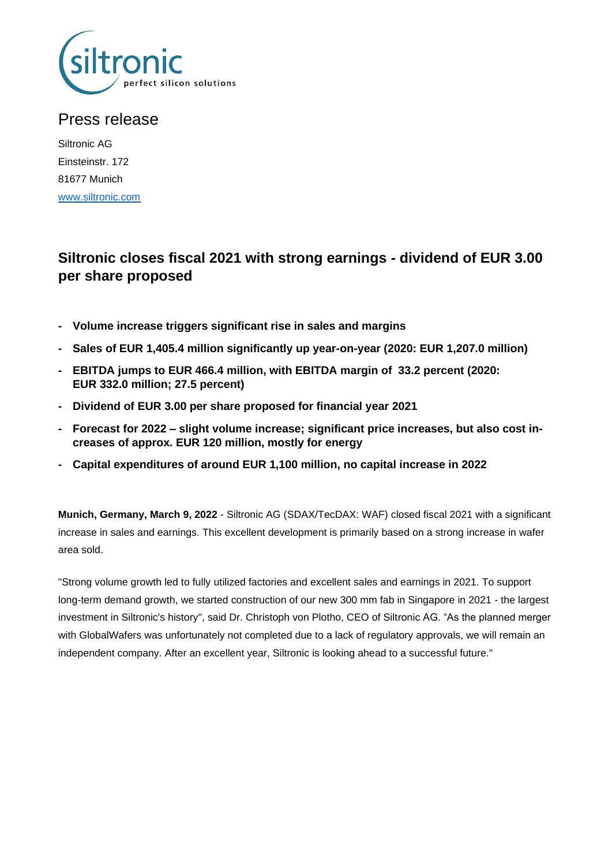

# Press release

Siltronic AG Einsteinstr. 172 81677 Munich [www.siltronic.com](http://www.siltronic.com/)

# **Siltronic closes fiscal 2021 with strong earnings - dividend of EUR 3.00 per share proposed**

- **- Volume increase triggers significant rise in sales and margins**
- **- Sales of EUR 1,405.4 million significantly up year-on-year (2020: EUR 1,207.0 million)**
- **- EBITDA jumps to EUR 466.4 million, with EBITDA margin of 33.2 percent (2020: EUR 332.0 million; 27.5 percent)**
- **- Dividend of EUR 3.00 per share proposed for financial year 2021**
- **- Forecast for 2022 – slight volume increase; significant price increases, but also cost increases of approx. EUR 120 million, mostly for energy**
- **- Capital expenditures of around EUR 1,100 million, no capital increase in 2022**

**Munich, Germany, March 9, 2022** - Siltronic AG (SDAX/TecDAX: WAF) closed fiscal 2021 with a significant increase in sales and earnings. This excellent development is primarily based on a strong increase in wafer area sold.

"Strong volume growth led to fully utilized factories and excellent sales and earnings in 2021. To support long-term demand growth, we started construction of our new 300 mm fab in Singapore in 2021 - the largest investment in Siltronic's history", said Dr. Christoph von Plotho, CEO of Siltronic AG. "As the planned merger with GlobalWafers was unfortunately not completed due to a lack of regulatory approvals, we will remain an independent company. After an excellent year, Siltronic is looking ahead to a successful future."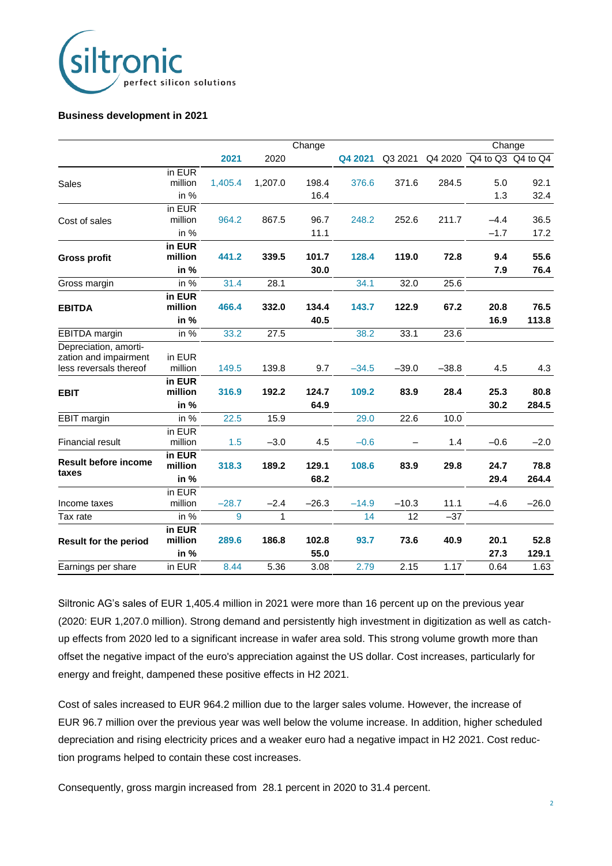

#### **Business development in 2021**

|                                                                          |                                          |         |         | Change        |         |         |         | Change                    |               |
|--------------------------------------------------------------------------|------------------------------------------|---------|---------|---------------|---------|---------|---------|---------------------------|---------------|
|                                                                          |                                          | 2021    | 2020    |               | Q4 2021 | Q3 2021 |         | Q4 2020 Q4 to Q3 Q4 to Q4 |               |
| Sales                                                                    | in EUR<br>million<br>in $%$              | 1,405.4 | 1,207.0 | 198.4<br>16.4 | 376.6   | 371.6   | 284.5   | 5.0<br>1.3                | 92.1<br>32.4  |
| Cost of sales                                                            | $\overline{in}$ EUR<br>million<br>in $%$ | 964.2   | 867.5   | 96.7<br>11.1  | 248.2   | 252.6   | 211.7   | $-4.4$<br>$-1.7$          | 36.5<br>17.2  |
| <b>Gross profit</b>                                                      | in EUR<br>million<br>in %                | 441.2   | 339.5   | 101.7<br>30.0 | 128.4   | 119.0   | 72.8    | 9.4<br>7.9                | 55.6<br>76.4  |
| Gross margin                                                             | in %                                     | 31.4    | 28.1    |               | 34.1    | 32.0    | 25.6    |                           |               |
| <b>EBITDA</b>                                                            | in EUR<br>million<br>in %                | 466.4   | 332.0   | 134.4<br>40.5 | 143.7   | 122.9   | 67.2    | 20.8<br>16.9              | 76.5<br>113.8 |
| EBITDA margin                                                            | in $%$                                   | 33.2    | 27.5    |               | 38.2    | 33.1    | 23.6    |                           |               |
| Depreciation, amorti-<br>zation and impairment<br>less reversals thereof | in EUR<br>million                        | 149.5   | 139.8   | 9.7           | $-34.5$ | $-39.0$ | $-38.8$ | 4.5                       | 4.3           |
| <b>EBIT</b>                                                              | in EUR<br>million<br>in %                | 316.9   | 192.2   | 124.7<br>64.9 | 109.2   | 83.9    | 28.4    | 25.3<br>30.2              | 80.8<br>284.5 |
| <b>EBIT</b> margin                                                       | in $%$                                   | 22.5    | 15.9    |               | 29.0    | 22.6    | 10.0    |                           |               |
| <b>Financial result</b>                                                  | in EUR<br>million                        | 1.5     | $-3.0$  | 4.5           | $-0.6$  |         | 1.4     | $-0.6$                    | $-2.0$        |
| <b>Result before income</b><br>taxes                                     | in EUR<br>million<br>in %                | 318.3   | 189.2   | 129.1<br>68.2 | 108.6   | 83.9    | 29.8    | 24.7<br>29.4              | 78.8<br>264.4 |
| Income taxes                                                             | in EUR<br>million                        | $-28.7$ | $-2.4$  | $-26.3$       | $-14.9$ | $-10.3$ | 11.1    | $-4.6$                    | $-26.0$       |
| Tax rate                                                                 | in %                                     | 9       | 1       |               | 14      | 12      | $-37$   |                           |               |
| <b>Result for the period</b>                                             | in EUR<br>million<br>in %                | 289.6   | 186.8   | 102.8<br>55.0 | 93.7    | 73.6    | 40.9    | 20.1<br>27.3              | 52.8<br>129.1 |
| Earnings per share                                                       | in EUR                                   | 8.44    | 5.36    | 3.08          | 2.79    | 2.15    | 1.17    | 0.64                      | 1.63          |

Siltronic AG's sales of EUR 1,405.4 million in 2021 were more than 16 percent up on the previous year (2020: EUR 1,207.0 million). Strong demand and persistently high investment in digitization as well as catchup effects from 2020 led to a significant increase in wafer area sold. This strong volume growth more than offset the negative impact of the euro's appreciation against the US dollar. Cost increases, particularly for energy and freight, dampened these positive effects in H2 2021.

Cost of sales increased to EUR 964.2 million due to the larger sales volume. However, the increase of EUR 96.7 million over the previous year was well below the volume increase. In addition, higher scheduled depreciation and rising electricity prices and a weaker euro had a negative impact in H2 2021. Cost reduction programs helped to contain these cost increases.

Consequently, gross margin increased from 28.1 percent in 2020 to 31.4 percent.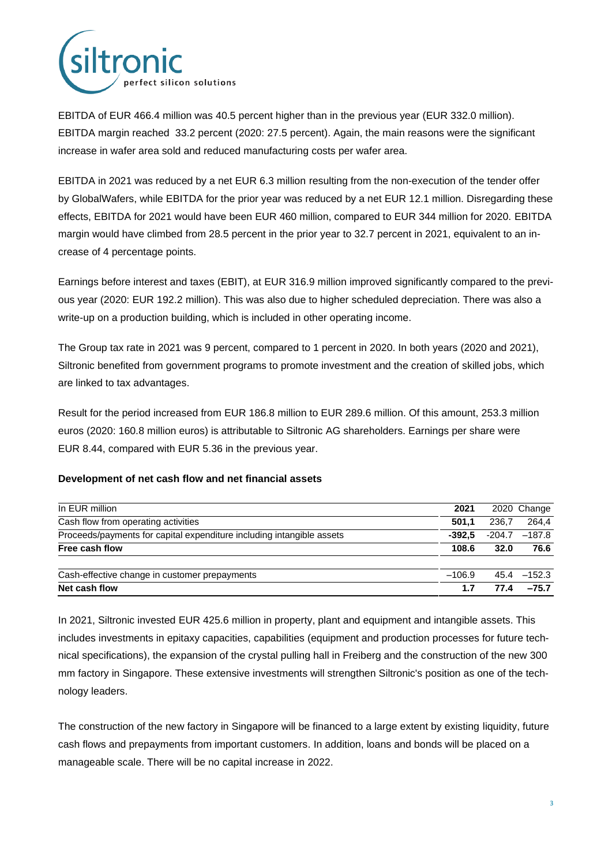

EBITDA of EUR 466.4 million was 40.5 percent higher than in the previous year (EUR 332.0 million). EBITDA margin reached 33.2 percent (2020: 27.5 percent). Again, the main reasons were the significant increase in wafer area sold and reduced manufacturing costs per wafer area.

EBITDA in 2021 was reduced by a net EUR 6.3 million resulting from the non-execution of the tender offer by GlobalWafers, while EBITDA for the prior year was reduced by a net EUR 12.1 million. Disregarding these effects, EBITDA for 2021 would have been EUR 460 million, compared to EUR 344 million for 2020. EBITDA margin would have climbed from 28.5 percent in the prior year to 32.7 percent in 2021, equivalent to an increase of 4 percentage points.

Earnings before interest and taxes (EBIT), at EUR 316.9 million improved significantly compared to the previous year (2020: EUR 192.2 million). This was also due to higher scheduled depreciation. There was also a write-up on a production building, which is included in other operating income.

The Group tax rate in 2021 was 9 percent, compared to 1 percent in 2020. In both years (2020 and 2021), Siltronic benefited from government programs to promote investment and the creation of skilled jobs, which are linked to tax advantages.

Result for the period increased from EUR 186.8 million to EUR 289.6 million. Of this amount, 253.3 million euros (2020: 160.8 million euros) is attributable to Siltronic AG shareholders. Earnings per share were EUR 8.44, compared with EUR 5.36 in the previous year.

### **Development of net cash flow and net financial assets**

| In EUR million                                                        | 2021     |        | 2020 Change    |
|-----------------------------------------------------------------------|----------|--------|----------------|
| Cash flow from operating activities                                   | 501.1    | 236.7  | 264.4          |
| Proceeds/payments for capital expenditure including intangible assets | $-392.5$ | -204.7 | $-187.8$       |
| Free cash flow                                                        | 108.6    | 32.0   | 76.6           |
| Cash-effective change in customer prepayments                         | $-106.9$ |        | $45.4 - 152.3$ |
| Net cash flow                                                         | 1.7      | 77.4   | $-75.7$        |

In 2021, Siltronic invested EUR 425.6 million in property, plant and equipment and intangible assets. This includes investments in epitaxy capacities, capabilities (equipment and production processes for future technical specifications), the expansion of the crystal pulling hall in Freiberg and the construction of the new 300 mm factory in Singapore. These extensive investments will strengthen Siltronic's position as one of the technology leaders.

The construction of the new factory in Singapore will be financed to a large extent by existing liquidity, future cash flows and prepayments from important customers. In addition, loans and bonds will be placed on a manageable scale. There will be no capital increase in 2022.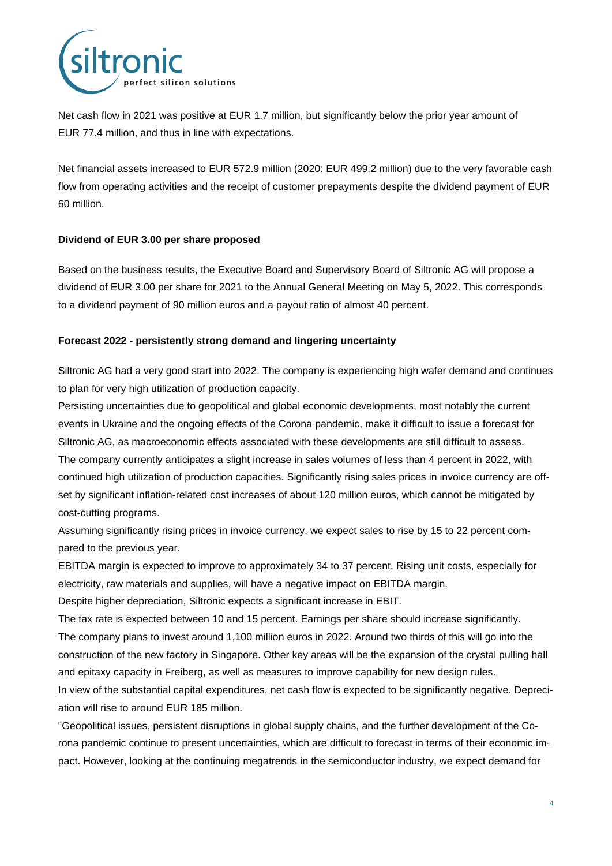

Net cash flow in 2021 was positive at EUR 1.7 million, but significantly below the prior year amount of EUR 77.4 million, and thus in line with expectations.

Net financial assets increased to EUR 572.9 million (2020: EUR 499.2 million) due to the very favorable cash flow from operating activities and the receipt of customer prepayments despite the dividend payment of EUR 60 million.

# **Dividend of EUR 3.00 per share proposed**

Based on the business results, the Executive Board and Supervisory Board of Siltronic AG will propose a dividend of EUR 3.00 per share for 2021 to the Annual General Meeting on May 5, 2022. This corresponds to a dividend payment of 90 million euros and a payout ratio of almost 40 percent.

# **Forecast 2022 - persistently strong demand and lingering uncertainty**

Siltronic AG had a very good start into 2022. The company is experiencing high wafer demand and continues to plan for very high utilization of production capacity.

Persisting uncertainties due to geopolitical and global economic developments, most notably the current events in Ukraine and the ongoing effects of the Corona pandemic, make it difficult to issue a forecast for Siltronic AG, as macroeconomic effects associated with these developments are still difficult to assess. The company currently anticipates a slight increase in sales volumes of less than 4 percent in 2022, with continued high utilization of production capacities. Significantly rising sales prices in invoice currency are offset by significant inflation-related cost increases of about 120 million euros, which cannot be mitigated by cost-cutting programs.

Assuming significantly rising prices in invoice currency, we expect sales to rise by 15 to 22 percent compared to the previous year.

EBITDA margin is expected to improve to approximately 34 to 37 percent. Rising unit costs, especially for electricity, raw materials and supplies, will have a negative impact on EBITDA margin.

Despite higher depreciation, Siltronic expects a significant increase in EBIT.

The tax rate is expected between 10 and 15 percent. Earnings per share should increase significantly. The company plans to invest around 1,100 million euros in 2022. Around two thirds of this will go into the construction of the new factory in Singapore. Other key areas will be the expansion of the crystal pulling hall and epitaxy capacity in Freiberg, as well as measures to improve capability for new design rules. In view of the substantial capital expenditures, net cash flow is expected to be significantly negative. Depreciation will rise to around EUR 185 million.

"Geopolitical issues, persistent disruptions in global supply chains, and the further development of the Corona pandemic continue to present uncertainties, which are difficult to forecast in terms of their economic impact. However, looking at the continuing megatrends in the semiconductor industry, we expect demand for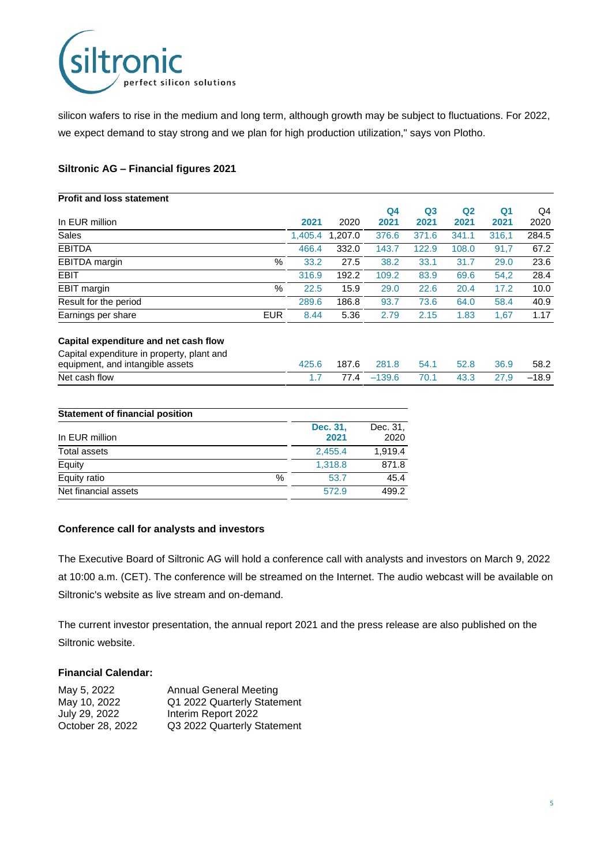

silicon wafers to rise in the medium and long term, although growth may be subject to fluctuations. For 2022, we expect demand to stay strong and we plan for high production utilization," says von Plotho.

## **Siltronic AG – Financial figures 2021**

| <b>Profit and loss statement</b>                                               |            |         |         |                |                |                |                |         |
|--------------------------------------------------------------------------------|------------|---------|---------|----------------|----------------|----------------|----------------|---------|
|                                                                                |            |         |         | Q <sub>4</sub> | Q <sub>3</sub> | Q <sub>2</sub> | Q <sub>1</sub> | Q4      |
| In EUR million                                                                 |            | 2021    | 2020    | 2021           | 2021           | 2021           | 2021           | 2020    |
| <b>Sales</b>                                                                   |            | 1.405.4 | 1.207.0 | 376.6          | 371.6          | 341.1          | 316,1          | 284.5   |
| <b>EBITDA</b>                                                                  |            | 466.4   | 332.0   | 143.7          | 122.9          | 108.0          | 91,7           | 67.2    |
| <b>EBITDA</b> margin                                                           | $\%$       | 33.2    | 27.5    | 38.2           | 33.1           | 31.7           | 29.0           | 23.6    |
| <b>EBIT</b>                                                                    |            | 316.9   | 192.2   | 109.2          | 83.9           | 69.6           | 54,2           | 28.4    |
| EBIT margin                                                                    | $\%$       | 22.5    | 15.9    | 29.0           | 22.6           | 20.4           | 17.2           | 10.0    |
| Result for the period                                                          |            | 289.6   | 186.8   | 93.7           | 73.6           | 64.0           | 58.4           | 40.9    |
| Earnings per share                                                             | <b>EUR</b> | 8.44    | 5.36    | 2.79           | 2.15           | 1.83           | 1,67           | 1.17    |
| Capital expenditure and net cash flow                                          |            |         |         |                |                |                |                |         |
| Capital expenditure in property, plant and<br>equipment, and intangible assets |            | 425.6   | 187.6   | 281.8          | 54.1           | 52.8           | 36.9           | 58.2    |
| Net cash flow                                                                  |            | 1.7     | 77.4    | $-139.6$       | 70.1           | 43.3           | 27,9           | $-18.9$ |
|                                                                                |            |         |         |                |                |                |                |         |

| <b>Statement of financial position</b> |                  |                  |
|----------------------------------------|------------------|------------------|
| In EUR million                         | Dec. 31,<br>2021 | Dec. 31,<br>2020 |
| Total assets                           | 2,455.4          | 1.919.4          |
| Equity                                 | 1.318.8          | 871.8            |
| Equity ratio<br>%                      | 53.7             | 45.4             |
| Net financial assets                   | 572.9            | 499.2            |

### **Conference call for analysts and investors**

The Executive Board of Siltronic AG will hold a conference call with analysts and investors on March 9, 2022 at 10:00 a.m. (CET). The conference will be streamed on the Internet. The audio webcast will be available on Siltronic's website as live stream and on-demand.

The current investor presentation, the annual report 2021 and the press release are also published on the Siltronic website.

## **Financial Calendar:**

| May 5, 2022      | <b>Annual General Meeting</b> |
|------------------|-------------------------------|
| May 10, 2022     | Q1 2022 Quarterly Statement   |
| July 29, 2022    | Interim Report 2022           |
| October 28, 2022 | Q3 2022 Quarterly Statement   |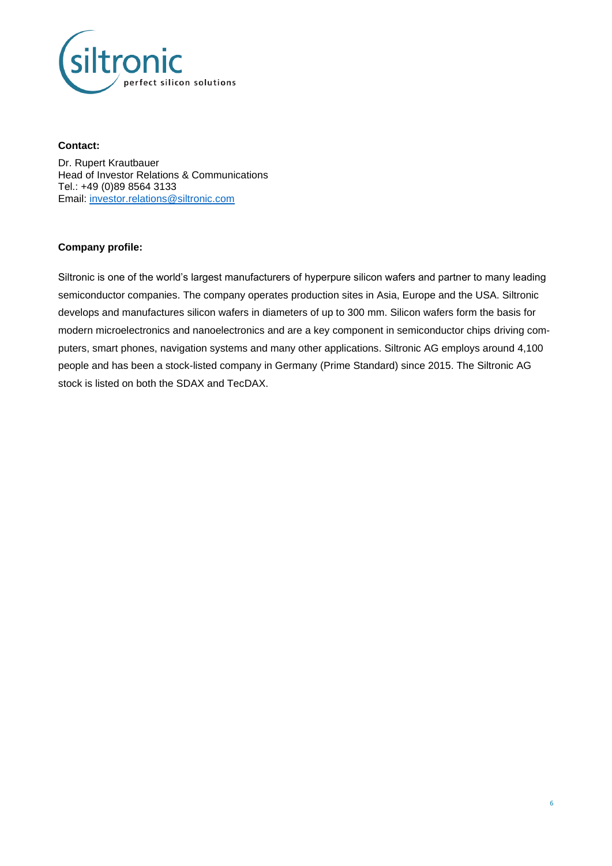

#### **Contact:**

Dr. Rupert Krautbauer Head of Investor Relations & Communications Tel.: +49 (0)89 8564 3133 Email: [investor.relations@siltronic.com](mailto:investor.relations@siltronic.com)

# **Company profile:**

Siltronic is one of the world's largest manufacturers of hyperpure silicon wafers and partner to many leading semiconductor companies. The company operates production sites in Asia, Europe and the USA. Siltronic develops and manufactures silicon wafers in diameters of up to 300 mm. Silicon wafers form the basis for modern microelectronics and nanoelectronics and are a key component in semiconductor chips driving computers, smart phones, navigation systems and many other applications. Siltronic AG employs around 4,100 people and has been a stock-listed company in Germany (Prime Standard) since 2015. The Siltronic AG stock is listed on both the SDAX and TecDAX.